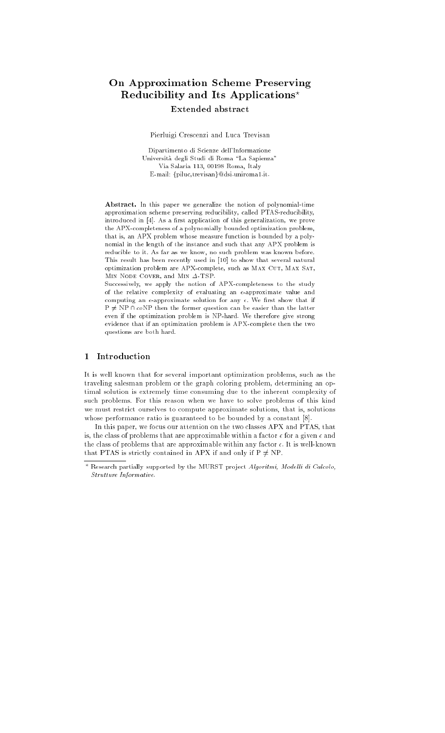# On Approximation Scheme Preserving Reducibility and Its Applications? Extended abstract

Pierluigi Crescenzi and Luca Trevisan

Dipartimento di Scienze dell'Informazione Università degli Studi di Roma "La Sapienza" Via Salaria 113, 00198 Roma, Italy E-mail: {piluc,trevisan}@dsi.uniroma1.it.

Abstract. In this paper we generalize the notion of polynomial-time approximation scheme preserving reducibility, called PTAS-reducibility, introduced in [4]. As a first application of this generalization, we prove the APX-completeness of a polynomially bounded optimization problem, that is, an APX problem whose measure function is bounded by a polynomial in the length of the instance and such that any APX problem is reducible to it. As far as we know, no such problem was known before. This result has been recently used in [10] to show that several natural optimization problem are APX-complete, such as MAX CUT, MAX SAT, MIN NODE COVER, and MIN  $\Delta$ -TSP.

Successively, we apply the notion of APX-completeness to the study of the relative complexity of evaluating an  $\epsilon\text{-approximate}$  value and computing an  $\epsilon$ -approximate solution for any  $\epsilon$ . We first show that if  $P \neq NP \cap coNP$  then the former question can be easier than the latter even if the optimization problem is NP-hard. We therefore give strong evidence that if an optimization problem is APX-complete then the two questions are both hard.

# <sup>1</sup> Introduction

It is well known that for several important optimization problems, such as the traveling salesman problem or the graph coloring problem, determining an optimal solution is extremely time consuming due to the inherent complexity of such problems. For this reason when we have to solve problems of this kind we must restrict ourselves to compute approximate solutions, that is, solutions whose performance ratio is guaranteed to be bounded by a constant [8].

In this paper, we focus our attention on the two classes APX and PTAS, that is, the class of problems that are approximable within a factor  $\epsilon$  for a given  $\epsilon$  and the class of problems that are approximable within any factor  $\epsilon$ . It is well-known that PTAS is strictly contained in APX if and only if  $P \neq NP$ .

Research partially supported by the MURST project Algoritmi, Modelli di Calcolo, Strutture Informative. Strutture Informative.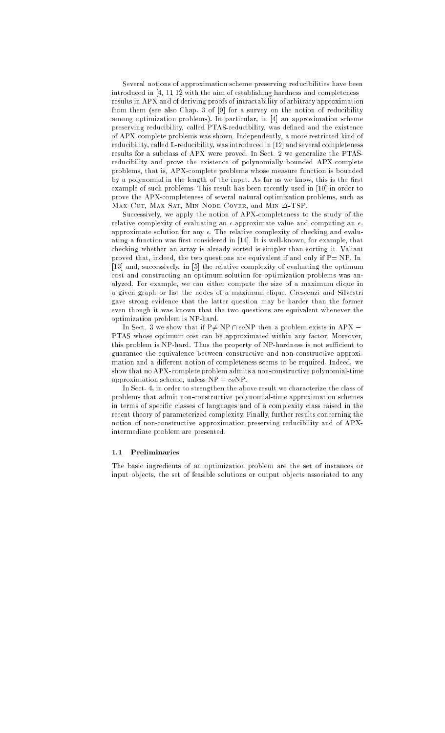Several notions of approximation scheme preserving reducibilities have been introduced in [4, 11, 12] with the aim of establishing hardness and completeness results in APX and of deriving proofs of intractability of arbitrary approximation from them (see also Chap. 3 of [9] for a survey on the notion of reducibility among optimization problems). In particular, in [4] an approximation scheme preserving reducibility, called PTAS-reducibility, was defined and the existence of APX-complete problems was shown. Independently, a more restricted kind of reducibility, called L-reducibility, was introduced in [12] and several completeness results for a subclass of APX were proved. In Sect. 2 we generalize the PTASreducibility and prove the existence of polynomially bounded APX-complete problems, that is, APX-complete problems whose measure function is bounded by a polynomial in the length of the input. As far as we know, this is the first example of such problems. This result has been recently used in [10] in order to prove the APX-completeness of several natural optimization problems, such as MAX CUT, MAX SAT, MIN NODE COVER, and MIN  $\Delta$ -TSP.

Successively, we apply the notion of APX-completeness to the study of the relative complexity of evaluating an  $\epsilon$ -approximate value and computing an  $\epsilon$ approximate solution for any  $\epsilon$ . The relative complexity of checking and evaluating a function was first considered in [14]. It is well-known, for example, that checking whether an array is already sorted is simpler than sorting it. Valiant proved that, indeed, the two questions are equivalent if and only if  $P = NP$ . In [13] and, successively, in [5] the relative complexity of evaluating the optimum cost and constructing an optimum solution for optimization problems was analyzed. For example, we can either compute the size of a maximum clique in a given graph or list the nodes of a maximum clique. Crescenzi and Silvestri gave strong evidence that the latter question may be harder than the former even though it was known that the two questions are equivalent whenever the optimization problem is NP-hard.

In Sect. 3 we show that if P $\neq$  NP  $\cap$  coNP then a problem exists in APX – PTAS whose optimum cost can be approximated within any factor. Moreover, this problem is NP-hard. Thus the property of NP-hardness is not sufficient to guarantee the equivalence between constructive and non-constructive approximation and a different notion of completeness seems to be required. Indeed, we show that no APX-complete problem admits a non-constructive polynomial-time approximation scheme, unless  $NP = coNP$ .

In Sect. 4, in order to strengthen the above result we characterize the class of problems that admit non-constructive polynomial-time approximation schemes in terms of specic classes of languages and of a complexity class raised in the recent theory of parameterized complexity. Finally, further results concerning the notion of non-constructive approximation preserving reducibility and of APXintermediate problem are presented.

#### 1.1 Preliminaries

The basic ingredients of an optimization problem are the set of instances or input objects, the set of feasible solutions or output objects associated to any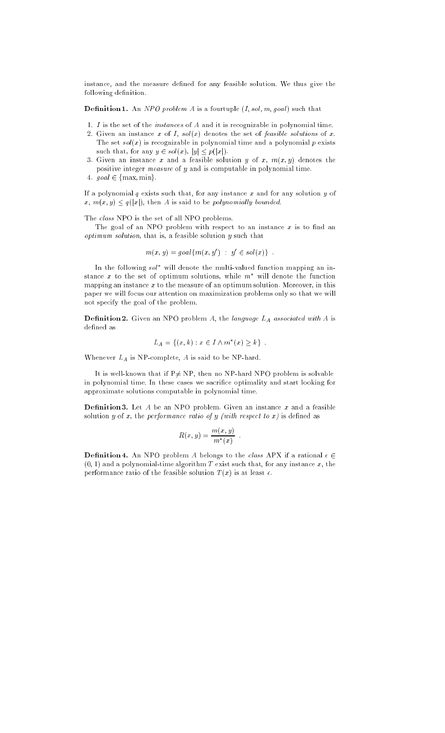instance, and the measure defined for any feasible solution. We thus give the following definition.

**Definition 1.** An NPO problem A is a fourtuple  $(I, sol, m, goal)$  such that

- 1.  $I$  is the set of the *instances* of  $A$  and it is recognizable in polynomial time.
- 2. Given an instance x of I,  $sol(x)$  denotes the set of feasible solutions of x. The set  $sol(x)$  is recognizable in polynomial time and a polynomial  $p$  exists such that, for any  $y \in sol(x)$ ,  $|y| \leq p(|x|)$ .
- 3. Given an instance x and a feasible solution y of x,  $m(x, y)$  denotes the positive integer measure of y and is computable in polynomial time.
- 4.  $goal \in \{max, min\}$ .

If a polynomial  $q$  exists such that, for any instance  $x$  and for any solution  $y$  of  $x, m(x, y) \leq q(|x|)$ , then A is said to be polynomially bounded.

The class NPO is the set of all NPO problems.

The goal of an NPO problem with respect to an instance  $x$  is to find an  $optimum$  solution, that is, a feasible solution  $y$  such that

$$
m(x, y) = goal{m(x, y') : y' \in sol(x)}
$$
.

In the following sol will denote the multi-valued function mapping an instance x to the set of optimum solutions, while  $m^*$  will denote the function mapping an instance  $x$  to the measure of an optimum solution. Moreover, in this paper we will focus our attention on maximization problems only so that we will not specify the goal of the problem.

**Definition 2.** Given an NPO problem A, the language  $L_A$  associated with A is defined as

$$
L_A = \{(x, k) : x \in I \wedge m^*(x) \ge k\} .
$$

Whenever  $L_A$  is NP-complete,  $A$  is said to be NP-hard.

It is well-known that if  $P\neq NP$ , then no NP-hard NPO problem is solvable in polynomial time. In these cases we sacrifice optimality and start looking for approximate solutions computable in polynomial time.

**Definition 3.** Let  $A$  be an NPO problem. Given an instance  $x$  and a feasible solution y of x, the performance ratio of y (with respect to  $x$ ) is defined as

$$
R(x, y) = \frac{m(x, y)}{m^*(x)}
$$

**Definition 4.** An NPO problem A belongs to the class APX if a rational  $\epsilon \in$  $(0, 1)$  and a polynomial-time algorithm T exist such that, for any instance x, the performance ratio of the feasible solution  $T(x)$  is at least  $\epsilon.$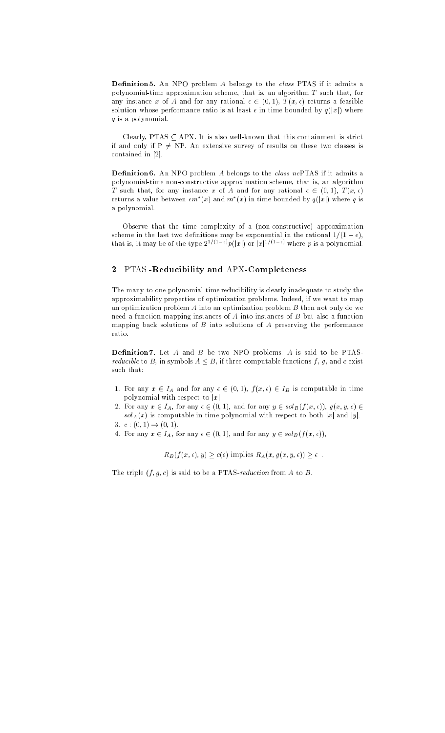Definition 5. An NPO problem  $A$  belongs to the *class* PTAS if it admits a polynomial-time approximation scheme, that is, an algorithm  $T$  such that, for any instance x of A and for any rational  $\epsilon \in (0, 1)$ ,  $T (x, \epsilon)$  returns a feasible solution whose performance ratio is at least  $\epsilon$  in time bounded by  $q(|x|)$  where q is a polynomial.

Clearly, PTAS  $\subseteq$  APX. It is also well-known that this containment is strict if and only if  $P \neq NP$ . An extensive survey of results on these two classes is contained in [2].

**Definition 6.** An NPO problem  $A$  belongs to the *class ncPTAS* if it admits a polynomial-time non-constructive approximation scheme, that is, an algorithm T such that, for any instance x of A and for any rational  $\epsilon \in (0, 1), T (x, \epsilon)$ returns a value between  $\epsilon m$   $(x)$  and  $m$   $(x)$  in time bounded by  $q(|x|)$  where  $q$  is a polynomial.

Observe that the time complexity of a (non-constructive) approximation scheme in the last two definitions may be exponential in the rational  $1/(1 - \epsilon)$ , that is, it may be of the type  $2^{2\gamma+1}$   $\gamma p(|x|)$  or  $|x|^{2\gamma+1}$  verteg p is a polynomial.

#### <sup>2</sup> PTAS -Reducibility and APX-Completeness

The many-to-one polynomial-time reducibility is clearly inadequate to study the approximability properties of optimization problems. Indeed, if we want to map an optimization problem  $A$  into an optimization problem  $B$  then not only do we need a function mapping instances of  $A$  into instances of  $B$  but also a function mapping back solutions of  $B$  into solutions of  $A$  preserving the performance ratio.

**Definition 7.** Let  $A$  and  $B$  be two NPO problems.  $A$  is said to be PTAS*reducible* to B, in symbols  $A \leq B$ , if three computable functions f, g, and c exist such that:

- 1. For any  $x \in I_A$  and for any  $\epsilon \in (0, 1)$ ,  $f (x, \epsilon) \in I_B$  is computable in time polynomial with respect to  $|x|$ .
- 2. For any  $x \in I_A$ , for any  $\epsilon \in (0, 1)$ , and for any  $y \in sol_B(f(x, \epsilon))$ ,  $g(x, y, \epsilon) \in$  $sol_A(x)$  is computable in time polynomial with respect to both |x| and |y|.
- 3.  $c:(0,1) \rightarrow (0,1)$ .
- 4. For any  $x \in I_A$ , for any  $\epsilon \in (0, 1)$ , and for any  $y \in sol_B(f(x, \epsilon)),$

 $R_B(f(x, \epsilon), y) \geq c(\epsilon)$  implies  $R_A(x, g(x, y, \epsilon)) \geq \epsilon$ .

The triple  $(f, g, c)$  is said to be a PTAS-reduction from A to B.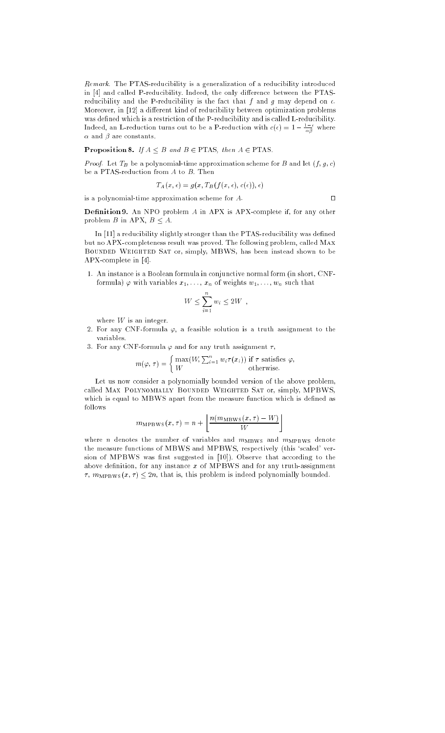Remark. The PTAS-reducibility is a generalization of a reducibility introduced in [4] and called P-reducibility. Indeed, the only difference between the PTASreducibility and the P-reducibility is the fact that  $f$  and  $g$  may depend on  $\epsilon$ . Moreover, in [12] a different kind of reducibility between optimization problems was defined which is a restriction of the P-reducibility and is called L-reducibility. Indeed, an L-reduction turns out to be a P-reduction with  $c(\epsilon) = 1 - \frac{1}{\alpha \beta}$  where  $\alpha$  and  $\beta$  are constants.

**Proposition 8.** If  $A \leq B$  and  $B \in PTAS$ , then  $A \in PTAS$ .

*Proof.* Let  $T_B$  be a polynomial-time approximation scheme for B and let  $(f, g, c)$ be a PTAS-reduction from  $A$  to  $B$ . Then

$$
T_A(x,\epsilon) = g(x,T_B(f(x,\epsilon),c(\epsilon)),\epsilon)
$$

 $\Box$ 

is a polynomial-time approximation scheme for  $A$ .

Definition 9. An NPO problem A in APX is APX-complete if, for any other problem B in APX,  $B \leq A$ .

In [11] a reducibility slightly stronger than the PTAS-reducibility was defined but no APX-completeness result was proved. The following problem, called Max Bounded Weighted Sat or, simply, MBWS, has been instead shown to be APX-complete in [4].

1. An instance is a Boolean formula in conjunctive normal form (in short, CNFformula)  $\varphi$  with variables  $x_1, \ldots, x_n$  of weights  $w_1, \ldots, w_n$  such that

$$
W \le \sum_{i=1}^n w_i \le 2W ,
$$

where  $W$  is an integer.

- 2. For any CNF-formula  $\varphi$ , a feasible solution is a truth assignment to the variables.
- 3. For any CNF-formula  $\varphi$  and for any truth assignment  $\tau$ ,

$$
m(\varphi, \tau) = \begin{cases} \max(W, \sum_{i=1}^{n} w_i \tau(x_i)) & \text{if } \tau \text{ satisfies } \varphi, \\ W & \text{otherwise.} \end{cases}
$$

Let us now consider a polynomially bounded version of the above problem, called Max Polynomially Bounded Weighted Sat or, simply, MPBWS, which is equal to MBWS apart from the measure function which is defined as follows

$$
m_{\rm MPBWS}(x,\tau) = n + \left\lfloor \frac{n(m_{\rm MBWS}(x,\tau) - W)}{W} \right\rfloor
$$

where *n* denotes the number of variables and  $m_{\text{MBWS}}$  and  $m_{\text{MPBWS}}$  denote the measure functions of MBWS and MPBWS, respectively (this 'scaled' version of MPBWS was first suggested in [10]). Observe that according to the above definition, for any instance  $x$  of MPBWS and for any truth-assignment  $\tau$ ,  $m_{\text{MPBWS}}(x, \tau) \leq 2n$ , that is, this problem is indeed polynomially bounded.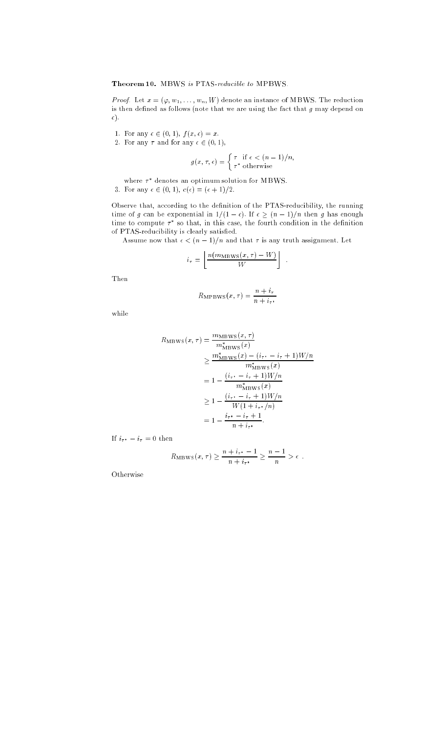### Theorem 10. MBWS is PTAS-reducible to MPBWS.

*Proof.* Let  $x = (\varphi, w_1, \ldots, w_n, W)$  denote an instance of MBWS. The reduction is then defined as follows (note that we are using the fact that  $g$  may depend on  $\epsilon)$  .

- 1. For any  $\epsilon \in (0, 1)$ ,  $f (x, \epsilon) = x$ .
- 2. For any  $\tau$  and for any  $\epsilon \in (0, 1)$ ,

$$
g(x, \tau, \epsilon) = \begin{cases} \tau & \text{if } \epsilon < (n-1)/n, \\ \tau^* & \text{otherwise} \end{cases}
$$

where  $\tau$  -denotes an optimum solution for MBWS.

3. For any  $\epsilon \in (0, 1), c(\epsilon) = (\epsilon + 1)/2$ .

Observe that, according to the denition of the PTAS-reducibility, the running time of g can be exponential in  $\omega_j$  , if we have  $\omega_j$  in the set  $\omega_j$  in the enough time to compute  $\tau$  so that, in this case, the fourth condition in the definition of PTAS-reducibility is clearly satisfied.

Assume now that  $\epsilon < (n-1)/n$  and that  $\tau$  is any truth assignment. Let

:

$$
i_{\tau} = \left\lfloor \frac{n(m_{\text{MBWS}}(x,\tau) - W)}{W} \right\rfloor
$$

Then

$$
R_{\rm MPBWS}(x,\tau)=\frac{n+i_\tau}{n+i_{\tau^*}}
$$

while

$$
R_{\text{MBWS}}(x,\tau) = \frac{m_{\text{MBWS}}(x,\tau)}{m_{\text{MBWS}}^*(x)}
$$
  
\n
$$
\geq \frac{m_{\text{MBWS}}^*(x) - (i_{\tau^*} - i_{\tau} + 1)W/n}{m_{\text{MBWS}}^*(x)}
$$
  
\n
$$
= 1 - \frac{(i_{\tau^*} - i_{\tau} + 1)W/n}{m_{\text{MBWS}}^*(x)}
$$
  
\n
$$
\geq 1 - \frac{(i_{\tau^*} - i_{\tau} + 1)W/n}{W(1 + i_{\tau^*}/n)}
$$
  
\n
$$
= 1 - \frac{i_{\tau^*} - i_{\tau} + 1}{n + i_{\tau^*}}.
$$

If  $i_{\tau^*} - i_{\tau} = 0$  then

$$
R_{\text{MBWS}}(x,\tau) \ge \frac{n+i_{\tau^*}-1}{n+i_{\tau^*}} \ge \frac{n-1}{n} > \epsilon.
$$

**Otherwise**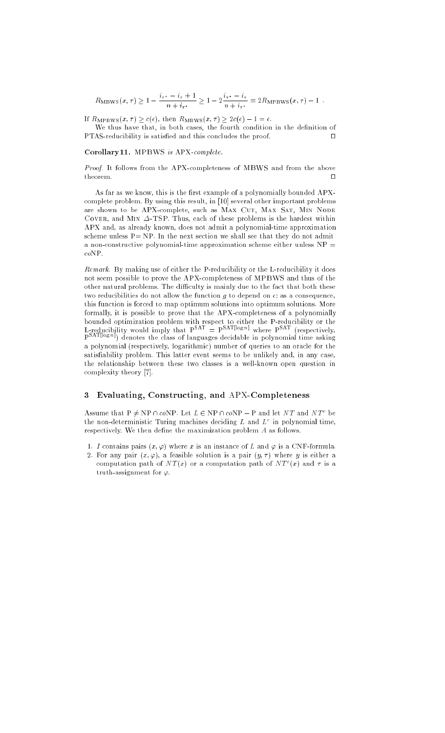$R_{\text{MBWS}}(x, \tau) \geq 1 - \frac{1}{\tau}$  $\frac{1}{n+i_{\tau^*}} \geq 1-2\frac{1}{n+i_{\tau^*}}$  $n + i_{\tau^*}$  =  $\ldots$ 

If  $R_{\text{MPBWS}}(x, \tau) \geq c(\epsilon)$ , then  $R_{\text{MBWS}}(x, \tau) \geq 2c(\epsilon) - 1 = \epsilon$ .

We thus have that, in both cases, the fourth condition in the definition of  $\text{PTAS-reducibility}$  is satisfied and this concludes the proof.  $\square$ 

#### Corollary 11. MPBWS is APX-complete.

Proof. It follows from the APX-completeness of MBWS and from the above  $\Box$ 

As far as we know, this is the first example of a polynomially bounded APXcomplete problem. By using this result, in [10] several other important problems are shown to be APX-complete, such as MAX CUT, MAX SAT, MIN NODE COVER, and MIN  $\Delta$ -TSP. Thus, each of these problems is the hardest within APX and, as already known, does not admit a polynomial-time approximation scheme unless  $P = NP$ . In the next section we shall see that they do not admit a non-constructive polynomial-time approximation scheme either unless  $NP =$ coNP.

Remark. By making use of either the P-reducibility or the L-reducibility it does not seem possible to prove the APX-completeness of MPBWS and thus of the other natural problems. The difficulty is mainly due to the fact that both these two reducibilities do not allow the function  $g$  to depend on  $\epsilon$ : as a consequence, this function is forced to map optimum solutions into optimum solutions. More formally, it is possible to prove that the APX-completeness of a polynomially L-reducibility would imply that  $P<sup>SAT</sup> = P<sup>SAT[log n]</sup>$  where  $P<sup>SAT</sup>$  (respectively, Partition) denotes the class of languages decidable in polynomial time asking a polynomial (respectively, logarithmic) number of queries to an oracle for the satisfiability problem. This latter event seems to be unlikely and, in any case, the relationship between these two classes is a well-known open question in complexity theory [7].

#### <sup>3</sup> Evaluating, Constructing, and APX-Completeness

Assume that  $P \neq NP \sqcup coNP$ . Let  $L \in NP \sqcup coNP = P$  and let  $N|I$  and  $N|I^+$  be the non-deterministic Turing machines deciding  $L$  and  $L^+$  in polynomial time, respectively. We then define the maximization problem  $A$  as follows.

- 1. I contains pairs  $(x, \varphi)$  where x is an instance of L and  $\varphi$  is a CNF-formula.
- 2. For any pair  $(x, \varphi)$ , a feasible solution is a pair  $(y, \tau)$  where y is either a computation path of  $N I(x)$  or a computation path of  $N I^-(x)$  and  $\tau$  is a truth-assignment for  $\varphi$ .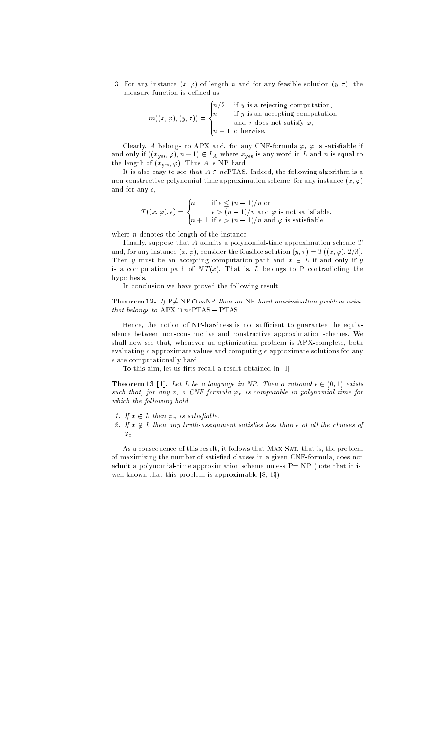3. For any instance  $(x, \varphi)$  of length n and for any feasible solution  $(y, \tau)$ , the measure function is defined as

$$
m((x,\varphi),(y,\tau)) = \begin{cases} n/2 & \text{if } y \text{ is a rejecting computation,} \\ n & \text{if } y \text{ is an accepting computation} \\ n+1 & \text{otherwise.} \end{cases}
$$

Clearly, A belongs to APX and, for any CNF-formula  $\varphi$ ,  $\varphi$  is satisfiable if and only if  $((x_{yes}, \varphi), n + 1) \in L_A$  where  $x_{yes}$  is any word in L and n is equal to the length of  $(x_{yes}, \varphi)$ . Thus A is NP-hard.

It is also easy to see that  $A \in \mathit{ncPTAS}$  . Indeed, the following algorithm is a non-constructive polynomial-time approximation scheme: for any instance  $(x, \varphi)$ and for any  $\epsilon$ ,

$$
T((x,\varphi),\epsilon) = \begin{cases} n & \text{if } \epsilon \le (n-1)/n \text{ or} \\ n+1 & \text{if } \epsilon > (n-1)/n \text{ and } \varphi \text{ is not satisfiable,} \\ n+1 & \text{if } \epsilon > (n-1)/n \text{ and } \varphi \text{ is satisfiable} \end{cases}
$$

where  $n$  denotes the length of the instance.

Finally, suppose that A admits a polynomial-time approximation scheme  $T$ and, for any instance  $(x, \varphi)$ , consider the feasible solution  $(y, \tau) = T((x, \varphi), 2/3)$ . Then y must be an accepting computation path and  $x \in L$  if and only if y is a computation path of  $NT(x)$ . That is, L belongs to P contradicting the hypothesis.

In conclusion we have proved the following result.

**Theorem 12.** If  $P \neq NP \cap coNP$  then an NP-hard maximization problem exist that belongs to  $APX \cap ncPTAS - PTAS$ .

Hence, the notion of NP-hardness is not sufficient to guarantee the equivalence between non-constructive and constructive approximation schemes. We shall now see that, whenever an optimization problem is APX-complete, both evaluating  $\epsilon$ -approximate values and computing  $\epsilon$ -approximate solutions for any  $\epsilon$  are computationally hard.

To this aim, let us firts recall a result obtained in [1].

**Theorem 13 [1].** Let L be a language in NP. Then a rational  $\epsilon \in (0, 1)$  exists such that, for any x, a CNF formula  $\varphi_x$  is computable in polynomial time for which the following hold.

- 1. If  $x \in L$  then  $\varphi_x$  is satisfiable.
- 2. If  $x \notin L$  then any truth-assignment satisfies less than  $\epsilon$  of all the clauses of  $\varphi_x$  .

As a consequence of this result, it follows that MAX SAT, that is, the problem of maximizing the number of satisfied clauses in a given CNF-formula, does not admit a polynomial-time approximation scheme unless  $P= NP$  (note that it is well-known that this problem is approximable [8, 15]).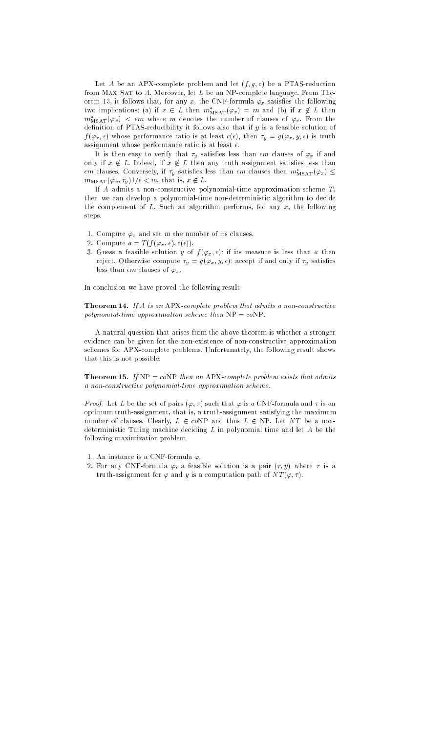Let A be an APX-complete problem and let  $(f, g, c)$  be a PTAS-reduction from MAX SAT to  $A$ . Moreover, let  $L$  be an NP-complete language. From Theorem 13, it follows that, for any x, the CNF-formula  $\varphi_x$  satisfies the following two implications: (a) if  $x \in L$  then  $m_{\text{MSAT}}(\varphi_x) = m$  and (b) if  $x \notin L$  then  $m_{\rm MSAT}(\varphi_x)~<~\epsilon m$  where  $m$  denotes the number of clauses of  $\varphi_x$ . From the definition of PTAS-reducibility it follows also that if  $y$  is a feasible solution of  $f(\varphi_x, \epsilon)$  whose performance ratio is at least  $c(\epsilon)$ , then  $\tau_y = g(\varphi_x, y, \epsilon)$  is truth assignment whose performance ratio is at least  $\epsilon$ .

It is then easy to verify that  $\tau_y$  satisfies less than  $\epsilon m$  clauses of  $\varphi_x$  if and only if  $x \notin L$ . Indeed, if  $x \notin L$  then any truth assignment satisfies less than  $\epsilon m$  clauses. Conversely, if  $\tau_y$  satisfies less than  $\epsilon m$  clauses then  $m_{\rm MSAT}(\varphi_x)\leq 1$  $m_{\text{MSAT}}(\varphi_x, \tau_y)1/\epsilon < m$ , that is,  $x \notin L$ .

If  $A$  admits a non-constructive polynomial-time approximation scheme  $T$ , then we can develop a polynomial-time non-deterministic algorithm to decide the complement of  $L$ . Such an algorithm performs, for any  $x$ , the following steps. step. The contract of the contract of the contract of the contract of the contract of the contract of the contract of

- 1. Compute  $\varphi_x$  and set m the number of its clauses.
- 2. Compute  $a = T(f(\varphi_x, \epsilon), c(\epsilon)).$
- 3. Guess a feasible solution y of  $f(\varphi_x, \epsilon)$ : if its measure is less than a then reject. Otherwise compute  $\tau_y = g(\varphi_x, y, \epsilon)$ : accept if and only if  $\tau_y$  satisfies less than  $\epsilon m$  clauses of  $\varphi_x$ .

In conclusion we have proved the following result.

**Theorem 14.** If A is an APX-complete problem that admits a non-constructive polynomial-time approximation scheme then  $NP = coNP$ .

A natural question that arises from the above theorem is whether a stronger evidence can be given for the non-existence of non-constructive approximation schemes for APX-complete problems. Unfortunately, the following result shows that this is not possible.

**Theorem 15.** If  $NP = coNP$  then an APX-complete problem exists that admits a non-constructive polynomial-time approximation scheme.

*Proof.* Let L be the set of pairs  $(\varphi, \tau)$  such that  $\varphi$  is a CNF-formula and  $\tau$  is an optimum truth-assignment, that is, a truth-assignment satisfying the maximum number of clauses. Clearly,  $L \in coNP$  and thus  $L \in NP$ . Let NT be a nondeterministic Turing machine deciding  $L$  in polynomial time and let  $A$  be the following maximization problem.

- 1. An instance is a CNF-formula  $\varphi$ .
- 2. For any CNF-formula  $\varphi$ , a feasible solution is a pair  $(\tau, y)$  where  $\tau$  is a truth-assignment for  $\varphi$  and y is a computation path of  $NT(\varphi, \tau)$ .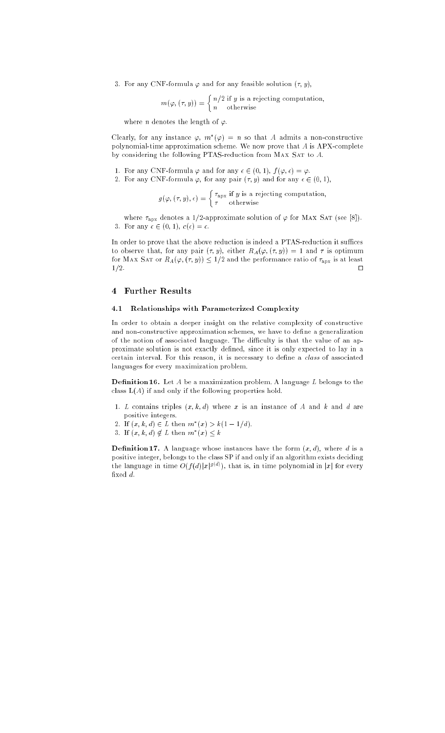3. For any CNF-formula  $\varphi$  and for any feasible solution  $(\tau, y)$ ,

$$
m(\varphi, (\tau, y)) = \begin{cases} n/2 \text{ if } y \text{ is a rejecting computation,} \\ n \text{ otherwise} \end{cases}
$$

where *n* denotes the length of  $\varphi$ .

Clearly, for any instance  $\varphi,$   $m$   $(\varphi)$   $=n$  so that  $A$  admits a non-constructive polynomial-time approximation scheme. We now prove that A is APX-complete by considering the following PTAS-reduction from MAX SAT to  $A$ .

- 1. For any CNF-formula  $\varphi$  and for any  $\epsilon \in (0, 1), f(\varphi, \epsilon) = \varphi$ .
- 2. For any CNF-formula  $\varphi$ , for any pair  $(\tau, y)$  and for any  $\epsilon \in (0, 1)$ ,

$$
g(\varphi, (\tau, y), \epsilon) = \begin{cases} \tau_{\text{apx}} & \text{if } y \text{ is a rejecting computation,} \\ \tau & \text{otherwise} \end{cases}
$$

where  $\tau_{\text{apx}}$  denotes a 1/2-approximate solution of  $\varphi$  for MAX SAT (see [8]). 3. For any  $\epsilon \in (0, 1), c(\epsilon) = \epsilon$ .

In order to prove that the above reduction is indeed a PTAS-reduction it suffices to observe that, for any pair  $(\tau, y)$ , either  $R_A(\varphi, (\tau, y)) = 1$  and  $\tau$  is optimum for MAX SAT or  $R_A(\varphi, (\tau, y)) \leq 1/2$  and the performance ratio of  $\tau_{apx}$  is at least  $\Box$  $1/2$ . utilization of the state of the state of the state of the state of the state of the state of the state of the state of the state of the state of the state of the state of the state of the state of the state of the

#### Further Results  $\overline{\mathbf{4}}$

#### 4.1 Relationships with Parameterized Complexity

In order to obtain a deeper insight on the relative complexity of constructive and non-constructive approximation schemes, we have to define a generalization of the notion of associated language. The difficulty is that the value of an approximate solution is not exactly defined, since it is only expected to lay in a certain interval. For this reason, it is necessary to define a *class* of associated languages for every maximization problem.

**Definition 16.** Let  $A$  be a maximization problem. A language  $L$  belongs to the class  $L(A)$  if and only if the following properties hold.

- 1. L contains triples  $(x, k, d)$  where x is an instance of A and k and d are positive integers.
- 2. If  $(x, \kappa, a) \in L$  then  $m(x) > \kappa(1-1/a)$ .
- $3.$  II  $(x, \kappa, a) \notin L$  then  $m(x) \leq k$

**Definition 17.** A language whose instances have the form  $(x, d)$ , where d is a positive integer, belongs to the class SP if and only if an algorithm exists deciding the language in time  $O(f(a)|x|^{s-s})$ , that is, in time polynomial in  $|x|$  for every fixed d.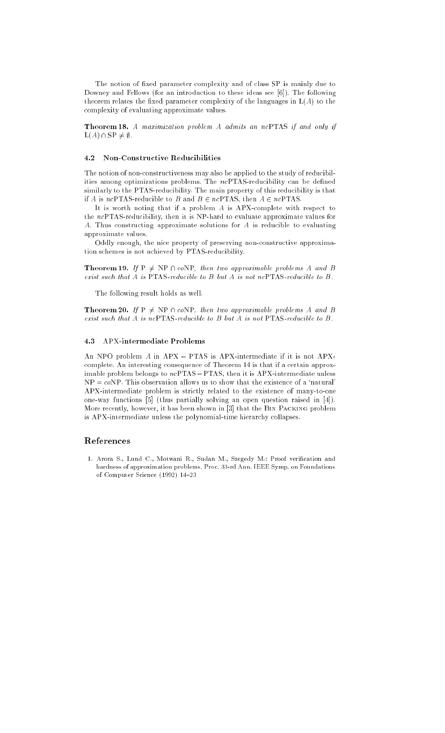The notion of fixed parameter complexity and of class SP is mainly due to Downey and Fellows (for an introduction to these ideas see [6]). The following theorem relates the fixed parameter complexity of the languages in  $L(A)$  to the complexity of evaluating approximate values.

Theorem 18. A maximization problem A admits an ncPTAS if and only if  $L(A) \cap SP \neq \emptyset$ .

#### 4.2 Non-Constructive Reducibilities

The notion of non-constructiveness may also be applied to the study of reducibilities among optimizations problems. The ncPTAS-reducibility can be defined similarly to the PTAS-reducibility. The main property of this reducibility is that if A is ncPTAS-reducible to B and  $B \in ncPTAS$ , then  $A \in ncPTAS$ .

It is worth noting that if a problem A is APX-complete with respect to the ncPTAS-reducibility, then it is NP-hard to evaluate approximate values for A. Thus constructing approximate solutions for A is reducible to evaluating approximate values.

Oddly enough, the nice property of preserving non-constructive approximation schemes is not achieved by PTAS-reducibility.

**Theorem 19.** If  $P \neq NP \cap coNP$ , then two approximable problems A and B exist such that A is PTAS-reducible to B but A is not ncPTAS-reducible to B.

The following result holds as well.

**Theorem 20.** If  $P \neq NP \cap coNP$ , then two approximable problems A and B exist such that A is ncPTAS-reducible to B but A is not PTAS-reducible to B.

#### 4.3 APX-intermediate Problems

An NPO problem  $A$  in  $APX - PTAS$  is  $APX$ -intermediate if it is not  $APX$ complete. An interesting consequence of Theorem 14 is that if a certain approximable problem belongs to  $ncPTAS - PTAS$ , then it is APX-intermediate unless  $NP = coNP$ . This observation allows us to show that the existence of a 'natural' APX-intermediate problem is strictly related to the existence of many-to-one one-way functions [5] (thus partially solving an open question raised in [4]). More recently, however, it has been shown in [3] that the Bin Packing problem is APX-intermediate unless the polynomial-time hierarchy collapses.

## References

1. Arora S., Lund C., Motwani R., Sudan M., Szegedy M.: Proof verification and hardness of approximation problems. Proc. 33-rd Ann. IEEE Symp. on Foundations of Computer Science (1992) 14-23